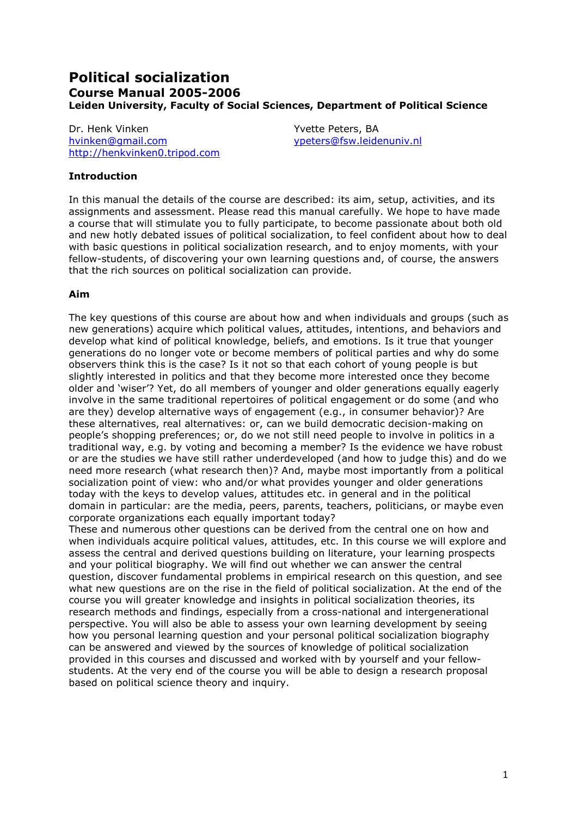# **Political socialization** Course Manual 2005-2006 Leiden University, Faculty of Social Sciences, Department of Political Science

Dr. Henk Vinken hvinken@qmail.com http://henkvinken0.tripod.com Yvette Peters, BA ypeters@fsw.leidenuniv.nl

#### **Introduction**

In this manual the details of the course are described: its aim, setup, activities, and its assignments and assessment. Please read this manual carefully. We hope to have made a course that will stimulate you to fully participate, to become passionate about both old and new hotly debated issues of political socialization, to feel confident about how to deal with basic questions in political socialization research, and to enjoy moments, with your fellow-students, of discovering your own learning questions and, of course, the answers that the rich sources on political socialization can provide.

#### Aim

The key questions of this course are about how and when individuals and groups (such as new generations) acquire which political values, attitudes, intentions, and behaviors and develop what kind of political knowledge, beliefs, and emotions. Is it true that younger generations do no longer vote or become members of political parties and why do some observers think this is the case? Is it not so that each cohort of young people is but slightly interested in politics and that they become more interested once they become older and 'wiser'? Yet, do all members of younger and older generations equally eagerly involve in the same traditional repertoires of political engagement or do some (and who are they) develop alternative ways of engagement (e.g., in consumer behavior)? Are these alternatives, real alternatives: or, can we build democratic decision-making on people's shopping preferences; or, do we not still need people to involve in politics in a traditional way, e.g. by voting and becoming a member? Is the evidence we have robust or are the studies we have still rather underdeveloped (and how to judge this) and do we need more research (what research then)? And, maybe most importantly from a political socialization point of view: who and/or what provides younger and older generations today with the keys to develop values, attitudes etc. in general and in the political domain in particular; are the media, peers, parents, teachers, politicians, or maybe even corporate organizations each equally important today?

These and numerous other questions can be derived from the central one on how and when individuals acquire political values, attitudes, etc. In this course we will explore and assess the central and derived questions building on literature, your learning prospects and your political biography. We will find out whether we can answer the central question, discover fundamental problems in empirical research on this question, and see what new questions are on the rise in the field of political socialization. At the end of the course you will greater knowledge and insights in political socialization theories, its research methods and findings, especially from a cross-national and intergenerational perspective. You will also be able to assess your own learning development by seeing how you personal learning question and your personal political socialization biography can be answered and viewed by the sources of knowledge of political socialization provided in this courses and discussed and worked with by yourself and your fellowstudents. At the very end of the course you will be able to design a research proposal based on political science theory and inquiry.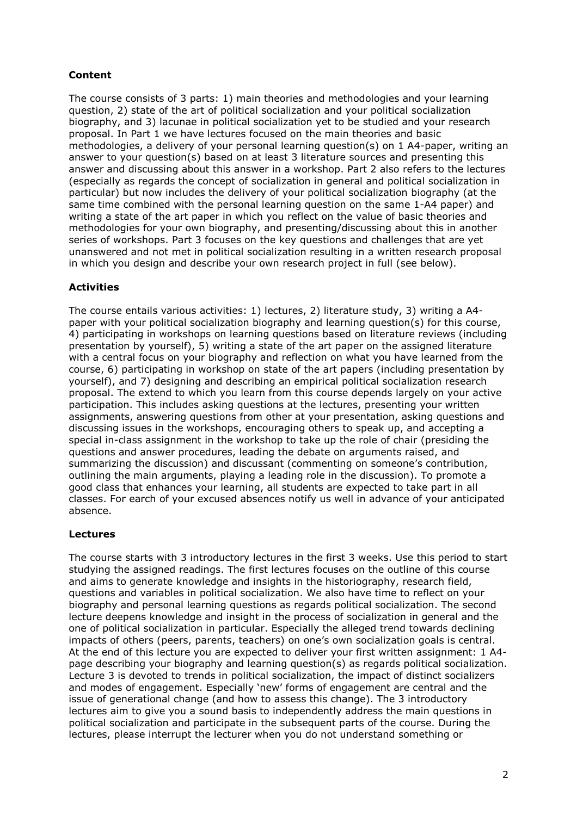# **Content**

The course consists of 3 parts: 1) main theories and methodologies and your learning question, 2) state of the art of political socialization and your political socialization biography, and 3) lacunae in political socialization yet to be studied and your research proposal. In Part 1 we have lectures focused on the main theories and basic methodologies, a delivery of your personal learning question(s) on 1 A4-paper, writing an answer to your question(s) based on at least 3 literature sources and presenting this answer and discussing about this answer in a workshop. Part 2 also refers to the lectures (especially as regards the concept of socialization in general and political socialization in particular) but now includes the delivery of your political socialization biography (at the same time combined with the personal learning question on the same 1-A4 paper) and writing a state of the art paper in which you reflect on the value of basic theories and methodologies for your own biography, and presenting/discussing about this in another series of workshops. Part 3 focuses on the key questions and challenges that are yet unanswered and not met in political socialization resulting in a written research proposal in which you design and describe your own research project in full (see below).

# **Activities**

The course entails various activities: 1) lectures, 2) literature study, 3) writing a A4paper with your political socialization biography and learning question(s) for this course, 4) participating in workshops on learning questions based on literature reviews (including presentation by yourself), 5) writing a state of the art paper on the assigned literature with a central focus on your biography and reflection on what you have learned from the course, 6) participating in workshop on state of the art papers (including presentation by yourself), and 7) designing and describing an empirical political socialization research proposal. The extend to which you learn from this course depends largely on your active participation. This includes asking questions at the lectures, presenting your written assignments, answering questions from other at your presentation, asking questions and discussing issues in the workshops, encouraging others to speak up, and accepting a special in-class assignment in the workshop to take up the role of chair (presiding the questions and answer procedures, leading the debate on arguments raised, and summarizing the discussion) and discussant (commenting on someone's contribution, outlining the main arguments, playing a leading role in the discussion). To promote a good class that enhances your learning, all students are expected to take part in all classes. For earch of your excused absences notify us well in advance of your anticipated absence.

## **Lectures**

The course starts with 3 introductory lectures in the first 3 weeks. Use this period to start studying the assigned readings. The first lectures focuses on the outline of this course and aims to generate knowledge and insights in the historiography, research field, questions and variables in political socialization. We also have time to reflect on your biography and personal learning questions as regards political socialization. The second lecture deepens knowledge and insight in the process of socialization in general and the one of political socialization in particular. Especially the alleged trend towards declining impacts of others (peers, parents, teachers) on one's own socialization goals is central. At the end of this lecture you are expected to deliver your first written assignment: 1 A4page describing your biography and learning question(s) as regards political socialization. Lecture 3 is devoted to trends in political socialization, the impact of distinct socializers and modes of engagement. Especially 'new' forms of engagement are central and the issue of generational change (and how to assess this change). The 3 introductory lectures aim to give you a sound basis to independently address the main questions in political socialization and participate in the subsequent parts of the course. During the lectures, please interrupt the lecturer when you do not understand something or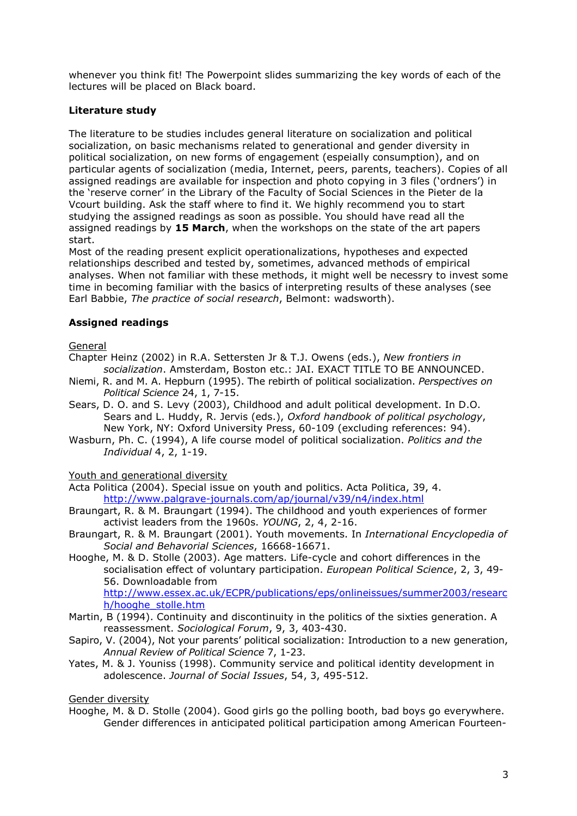whenever you think fit! The Powerpoint slides summarizing the key words of each of the lectures will be placed on Black board.

## Literature study

The literature to be studies includes general literature on socialization and political socialization, on basic mechanisms related to generational and gender diversity in political socialization, on new forms of engagement (espeially consumption), and on particular agents of socialization (media, Internet, peers, parents, teachers). Copies of all assigned readings are available for inspection and photo copying in 3 files ('ordners') in the 'reserve corner' in the Library of the Faculty of Social Sciences in the Pieter de la Vcourt building. Ask the staff where to find it. We highly recommend you to start studying the assigned readings as soon as possible. You should have read all the assigned readings by 15 March, when the workshops on the state of the art papers start.

Most of the reading present explicit operationalizations, hypotheses and expected relationships described and tested by, sometimes, advanced methods of empirical analyses. When not familiar with these methods, it might well be necessry to invest some time in becoming familiar with the basics of interpreting results of these analyses (see Earl Babbie, The practice of social research, Belmont: wadsworth).

# **Assigned readings**

#### General

- Chapter Heinz (2002) in R.A. Settersten Jr & T.J. Owens (eds.), New frontiers in socialization. Amsterdam, Boston etc.: JAI. EXACT TITLE TO BE ANNOUNCED.
- Niemi, R. and M. A. Hepburn (1995). The rebirth of political socialization. Perspectives on Political Science 24, 1, 7-15.
- Sears, D. O. and S. Levy (2003), Childhood and adult political development. In D.O. Sears and L. Huddy, R. Jervis (eds.), Oxford handbook of political psychology, New York, NY: Oxford University Press, 60-109 (excluding references: 94).
- Wasburn, Ph. C. (1994), A life course model of political socialization. Politics and the Individual 4, 2, 1-19.

#### Youth and generational diversity

Acta Politica (2004). Special issue on youth and politics. Acta Politica, 39, 4. http://www.palgrave-journals.com/ap/journal/v39/n4/index.html

- Braungart, R. & M. Braungart (1994). The childhood and youth experiences of former activist leaders from the 1960s. YOUNG, 2, 4, 2-16.
- Braungart, R. & M. Braungart (2001). Youth movements. In International Encyclopedia of Social and Behavorial Sciences, 16668-16671.
- Hooghe, M. & D. Stolle (2003). Age matters. Life-cycle and cohort differences in the socialisation effect of voluntary participation. European Political Science, 2, 3, 49-56. Downloadable from http://www.essex.ac.uk/ECPR/publications/eps/onlineissues/summer2003/researc h/hooghe stolle.htm
- Martin, B (1994). Continuity and discontinuity in the politics of the sixties generation. A reassessment. Sociological Forum, 9, 3, 403-430.
- Sapiro, V. (2004), Not your parents' political socialization: Introduction to a new generation, Annual Review of Political Science 7, 1-23.
- Yates, M. & J. Youniss (1998). Community service and political identity development in adolescence. Journal of Social Issues, 54, 3, 495-512.

#### Gender diversity

Hooghe, M. & D. Stolle (2004). Good girls go the polling booth, bad boys go everywhere. Gender differences in anticipated political participation among American Fourteen-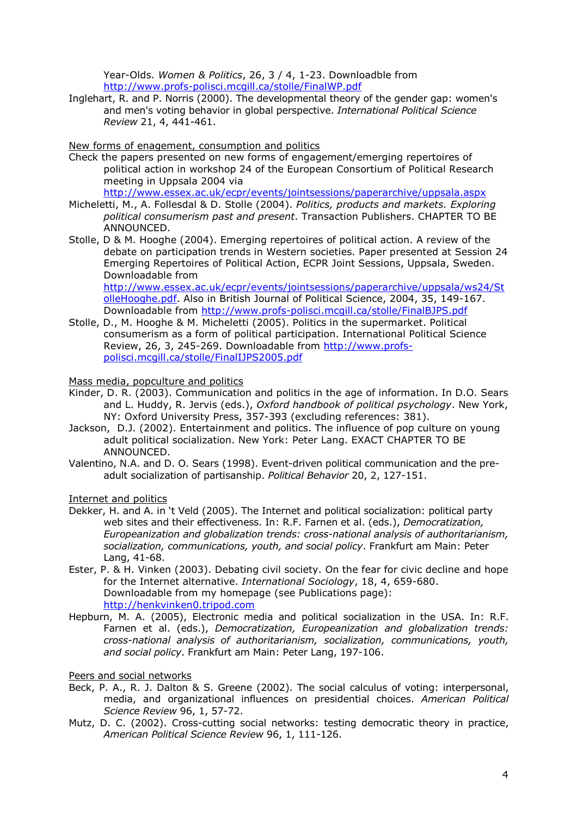Year-Olds. Women & Politics, 26, 3 / 4, 1-23. Downloadble from http://www.profs-polisci.mcgill.ca/stolle/FinalWP.pdf

Inglehart, R. and P. Norris (2000). The developmental theory of the gender gap: women's and men's voting behavior in global perspective. International Political Science Review 21, 4, 441-461.

#### New forms of enagement, consumption and politics

Check the papers presented on new forms of engagement/emerging repertoires of political action in workshop 24 of the European Consortium of Political Research meeting in Uppsala 2004 via

http://www.essex.ac.uk/ecpr/events/jointsessions/paperarchive/uppsala.aspx

- Micheletti, M., A. Follesdal & D. Stolle (2004). Politics, products and markets. Exploring political consumerism past and present. Transaction Publishers. CHAPTER TO BE ANNOUNCED.
- Stolle, D & M. Hooghe (2004). Emerging repertoires of political action. A review of the debate on participation trends in Western societies. Paper presented at Session 24 Emerging Repertoires of Political Action, ECPR Joint Sessions, Uppsala, Sweden. Downloadable from

http://www.essex.ac.uk/ecpr/events/jointsessions/paperarchive/uppsala/ws24/St olleHooghe.pdf. Also in British Journal of Political Science, 2004, 35, 149-167. Downloadable from http://www.profs-polisci.mcgill.ca/stolle/FinalBJPS.pdf

Stolle, D., M. Hooghe & M. Micheletti (2005). Politics in the supermarket. Political consumerism as a form of political participation. International Political Science Review, 26, 3, 245-269. Downloadable from http://www.profspolisci.mcqill.ca/stolle/FinalIJPS2005.pdf

#### Mass media, popculture and politics

- Kinder, D. R. (2003). Communication and politics in the age of information. In D.O. Sears and L. Huddy, R. Jervis (eds.), Oxford handbook of political psychology. New York, NY: Oxford University Press, 357-393 (excluding references: 381).
- Jackson, D.J. (2002). Entertainment and politics. The influence of pop culture on young adult political socialization. New York: Peter Lang. EXACT CHAPTER TO BE ANNOUNCED.
- Valentino, N.A. and D. O. Sears (1998). Event-driven political communication and the preadult socialization of partisanship. Political Behavior 20, 2, 127-151.

Internet and politics

- Dekker, H. and A. in 't Veld (2005). The Internet and political socialization: political party web sites and their effectiveness. In: R.F. Farnen et al. (eds.), Democratization, Europeanization and globalization trends: cross-national analysis of authoritarianism, socialization, communications, youth, and social policy. Frankfurt am Main: Peter Lang, 41-68.
- Ester, P. & H. Vinken (2003). Debating civil society. On the fear for civic decline and hope for the Internet alternative. International Sociology, 18, 4, 659-680. Downloadable from my homepage (see Publications page): http://henkvinken0.tripod.com
- Hepburn, M. A. (2005), Electronic media and political socialization in the USA. In: R.F. Farnen et al. (eds.), Democratization, Europeanization and globalization trends: cross-national analysis of authoritarianism, socialization, communications, youth, and social policy. Frankfurt am Main: Peter Lang, 197-106.

#### Peers and social networks

- Beck, P. A., R. J. Dalton & S. Greene (2002). The social calculus of voting: interpersonal, media, and organizational influences on presidential choices. American Political Science Review 96, 1, 57-72.
- Mutz, D. C. (2002). Cross-cutting social networks: testing democratic theory in practice, American Political Science Review 96, 1, 111-126.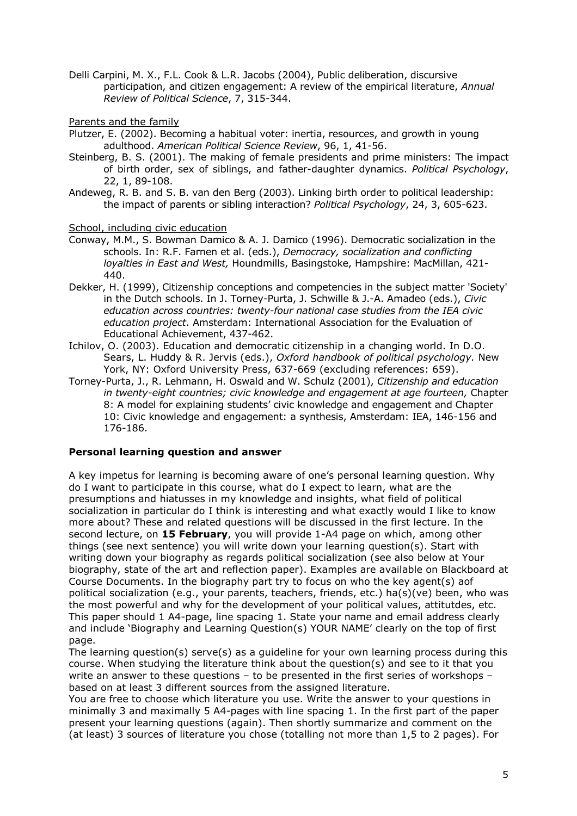- Delli Carpini, M. X., F.L. Cook & L.R. Jacobs (2004), Public deliberation, discursive participation, and citizen engagement: A review of the empirical literature, Annual Review of Political Science, 7, 315-344.
- Parents and the family
- Plutzer, E. (2002). Becoming a habitual voter: inertia, resources, and growth in young adulthood. American Political Science Review, 96, 1, 41-56.
- Steinberg, B. S. (2001). The making of female presidents and prime ministers: The impact of birth order, sex of siblings, and father-daughter dynamics. Political Psychology, 22, 1, 89-108.
- Andeweg, R. B. and S. B. van den Berg (2003). Linking birth order to political leadership: the impact of parents or sibling interaction? Political Psychology, 24, 3, 605-623.

School, including civic education

- Conway, M.M., S. Bowman Damico & A. J. Damico (1996). Democratic socialization in the schools. In: R.F. Farnen et al. (eds.), Democracy, socialization and conflicting lovalties in East and West, Houndmills, Basingstoke, Hampshire: MacMillan, 421-440.
- Dekker, H. (1999), Citizenship conceptions and competencies in the subject matter 'Society' in the Dutch schools. In J. Torney-Purta, J. Schwille & J.-A. Amadeo (eds.), Civic education across countries: twenty-four national case studies from the IEA civic education project. Amsterdam: International Association for the Evaluation of Educational Achievement, 437-462.
- Ichilov, O. (2003). Education and democratic citizenship in a changing world. In D.O. Sears, L. Huddy & R. Jervis (eds.), Oxford handbook of political psychology. New York, NY: Oxford University Press, 637-669 (excluding references: 659).
- Torney-Purta, J., R. Lehmann, H. Oswald and W. Schulz (2001), Citizenship and education in twenty-eight countries; civic knowledge and engagement at age fourteen, Chapter 8: A model for explaining students' civic knowledge and engagement and Chapter 10: Civic knowledge and engagement: a synthesis, Amsterdam: IEA, 146-156 and 176-186.

## Personal learning question and answer

A key impetus for learning is becoming aware of one's personal learning question. Why do I want to participate in this course, what do I expect to learn, what are the presumptions and hiatusses in my knowledge and insights, what field of political socialization in particular do I think is interesting and what exactly would I like to know more about? These and related questions will be discussed in the first lecture. In the second lecture, on 15 February, you will provide 1-A4 page on which, among other things (see next sentence) you will write down your learning question(s). Start with writing down your biography as regards political socialization (see also below at Your biography, state of the art and reflection paper). Examples are available on Blackboard at Course Documents. In the biography part try to focus on who the key agent(s) aof political socialization (e.g., your parents, teachers, friends, etc.) ha(s)(ve) been, who was the most powerful and why for the development of your political values, attitutdes, etc. This paper should 1 A4-page, line spacing 1. State your name and email address clearly and include 'Biography and Learning Question(s) YOUR NAME' clearly on the top of first page.

The learning question(s) serve(s) as a quideline for your own learning process during this course. When studying the literature think about the question(s) and see to it that you write an answer to these questions - to be presented in the first series of workshops based on at least 3 different sources from the assigned literature.

You are free to choose which literature you use. Write the answer to your questions in minimally 3 and maximally 5 A4-pages with line spacing 1. In the first part of the paper present your learning questions (again). Then shortly summarize and comment on the (at least) 3 sources of literature you chose (totalling not more than 1,5 to 2 pages). For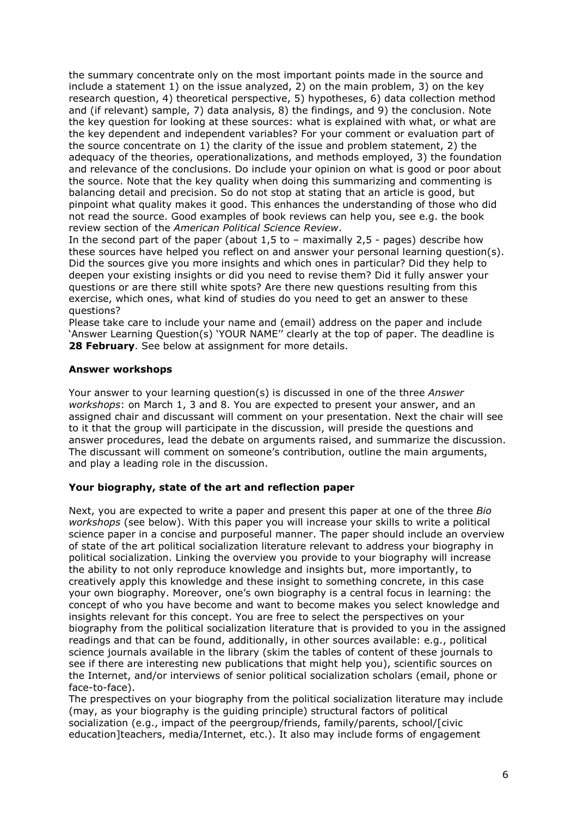the summary concentrate only on the most important points made in the source and include a statement 1) on the issue analyzed, 2) on the main problem, 3) on the key research question, 4) theoretical perspective, 5) hypotheses, 6) data collection method and (if relevant) sample, 7) data analysis, 8) the findings, and 9) the conclusion. Note the key question for looking at these sources: what is explained with what, or what are the key dependent and independent variables? For your comment or evaluation part of the source concentrate on 1) the clarity of the issue and problem statement, 2) the adeguacy of the theories, operationalizations, and methods employed, 3) the foundation and relevance of the conclusions. Do include your opinion on what is good or poor about the source. Note that the key quality when doing this summarizing and commenting is balancing detail and precision. So do not stop at stating that an article is good, but pinpoint what quality makes it good. This enhances the understanding of those who did not read the source. Good examples of book reviews can help you, see e.g. the book review section of the American Political Science Review.

In the second part of the paper (about  $1,5$  to - maximally  $2,5$  - pages) describe how these sources have helped you reflect on and answer your personal learning question(s). Did the sources give you more insights and which ones in particular? Did they help to deepen your existing insights or did you need to revise them? Did it fully answer your questions or are there still white spots? Are there new questions resulting from this exercise, which ones, what kind of studies do you need to get an answer to these questions?

Please take care to include your name and (email) address on the paper and include 'Answer Learning Question(s) 'YOUR NAME" clearly at the top of paper. The deadline is 28 February. See below at assignment for more details.

#### **Answer workshops**

Your answer to your learning question(s) is discussed in one of the three Answer workshops: on March 1, 3 and 8. You are expected to present your answer, and an assigned chair and discussant will comment on your presentation. Next the chair will see to it that the group will participate in the discussion, will preside the questions and answer procedures, lead the debate on arguments raised, and summarize the discussion. The discussant will comment on someone's contribution, outline the main arguments, and play a leading role in the discussion.

## Your biography, state of the art and reflection paper

Next, you are expected to write a paper and present this paper at one of the three Bio workshops (see below). With this paper you will increase your skills to write a political science paper in a concise and purposeful manner. The paper should include an overview of state of the art political socialization literature relevant to address your biography in political socialization. Linking the overview you provide to your biography will increase the ability to not only reproduce knowledge and insights but, more importantly, to creatively apply this knowledge and these insight to something concrete, in this case your own biography. Moreover, one's own biography is a central focus in learning: the concept of who you have become and want to become makes you select knowledge and insights relevant for this concept. You are free to select the perspectives on your biography from the political socialization literature that is provided to you in the assigned readings and that can be found, additionally, in other sources available: e.g., political science journals available in the library (skim the tables of content of these journals to see if there are interesting new publications that might help you), scientific sources on the Internet, and/or interviews of senior political socialization scholars (email, phone or face-to-face).

The prespectives on your biography from the political socialization literature may include (may, as your biography is the quiding principle) structural factors of political socialization (e.g., impact of the peergroup/friends, family/parents, school/[civic education]teachers, media/Internet, etc.). It also may include forms of engagement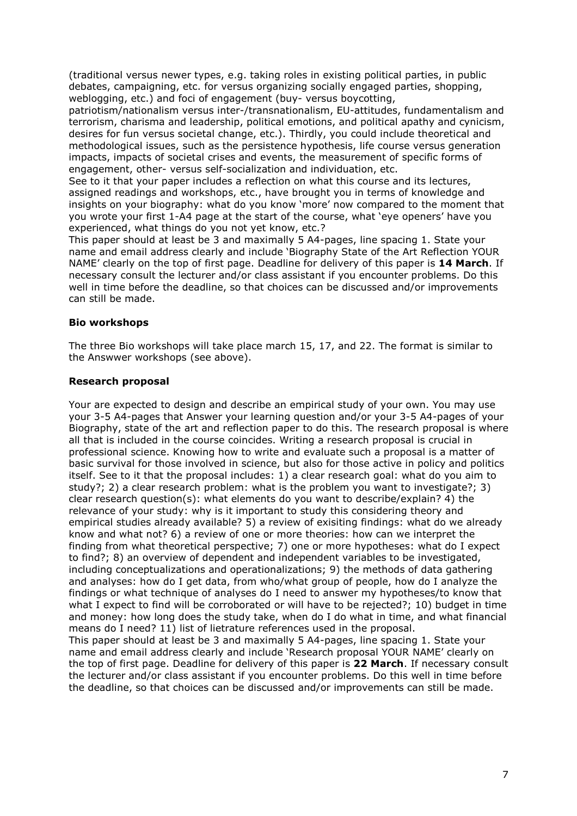(traditional versus newer types, e.g. taking roles in existing political parties, in public debates, campaigning, etc. for versus organizing socially engaged parties, shopping, weblogging, etc.) and foci of engagement (buy- versus boycotting,

patriotism/nationalism versus inter-/transnationalism, EU-attitudes, fundamentalism and terrorism, charisma and leadership, political emotions, and political apathy and cynicism, desires for fun versus societal change, etc.). Thirdly, you could include theoretical and methodological issues, such as the persistence hypothesis, life course versus generation impacts, impacts of societal crises and events, the measurement of specific forms of engagement, other- versus self-socialization and individuation, etc.

See to it that your paper includes a reflection on what this course and its lectures, assigned readings and workshops, etc., have brought you in terms of knowledge and insights on your biography: what do you know 'more' now compared to the moment that you wrote your first 1-A4 page at the start of the course, what 'eye openers' have you experienced, what things do you not yet know, etc.?

This paper should at least be 3 and maximally 5 A4-pages, line spacing 1. State your name and email address clearly and include 'Biography State of the Art Reflection YOUR NAME' clearly on the top of first page. Deadline for delivery of this paper is 14 March. If necessary consult the lecturer and/or class assistant if you encounter problems. Do this well in time before the deadline, so that choices can be discussed and/or improvements can still be made.

## **Bio workshops**

The three Bio workshops will take place march 15, 17, and 22. The format is similar to the Answwer workshops (see above).

#### **Research proposal**

Your are expected to design and describe an empirical study of your own. You may use your 3-5 A4-pages that Answer your learning question and/or your 3-5 A4-pages of your Biography, state of the art and reflection paper to do this. The research proposal is where all that is included in the course coincides. Writing a research proposal is crucial in professional science. Knowing how to write and evaluate such a proposal is a matter of basic survival for those involved in science, but also for those active in policy and politics itself. See to it that the proposal includes: 1) a clear research goal: what do you aim to study?: 2) a clear research problem: what is the problem you want to investigate?: 3) clear research question(s): what elements do you want to describe/explain? 4) the relevance of your study: why is it important to study this considering theory and empirical studies already available? 5) a review of exisiting findings: what do we already know and what not? 6) a review of one or more theories: how can we interpret the finding from what theoretical perspective; 7) one or more hypotheses: what do I expect to find?: 8) an overview of dependent and independent variables to be investigated, including conceptualizations and operationalizations; 9) the methods of data gathering and analyses: how do I get data, from who/what group of people, how do I analyze the findings or what technique of analyses do I need to answer my hypotheses/to know that what I expect to find will be corroborated or will have to be rejected?; 10) budget in time and money: how long does the study take, when do I do what in time, and what financial means do I need? 11) list of lietrature references used in the proposal. This paper should at least be 3 and maximally 5 A4-pages, line spacing 1. State your name and email address clearly and include 'Research proposal YOUR NAME' clearly on the top of first page. Deadline for delivery of this paper is 22 March. If necessary consult the lecturer and/or class assistant if you encounter problems. Do this well in time before the deadline, so that choices can be discussed and/or improvements can still be made.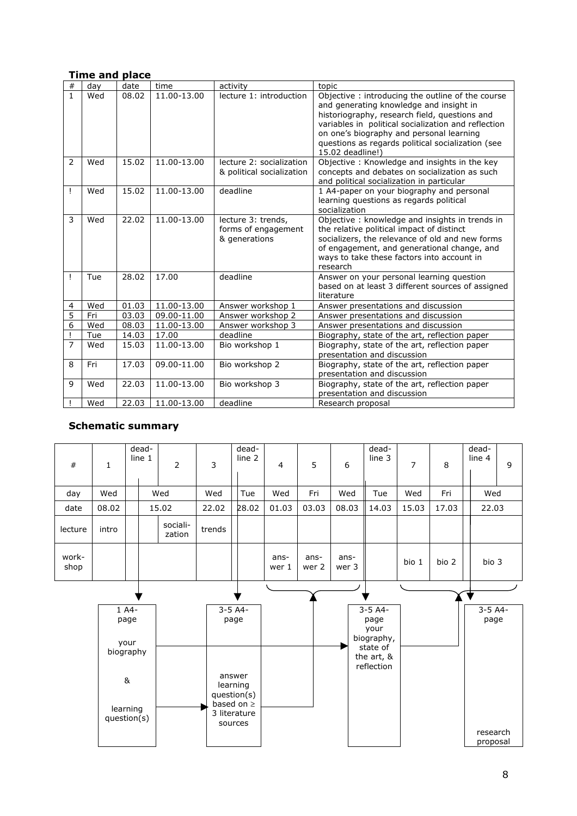| #              | day | date  | time        | activity                                                   | topic                                                                                                                                                                                                                                                                                                                    |  |  |  |  |  |
|----------------|-----|-------|-------------|------------------------------------------------------------|--------------------------------------------------------------------------------------------------------------------------------------------------------------------------------------------------------------------------------------------------------------------------------------------------------------------------|--|--|--|--|--|
| $\mathbf{1}$   | Wed | 08.02 | 11.00-13.00 | lecture 1: introduction                                    | Objective: introducing the outline of the course<br>and generating knowledge and insight in<br>historiography, research field, questions and<br>variables in political socialization and reflection<br>on one's biography and personal learning<br>questions as regards political socialization (see<br>15.02 deadline!) |  |  |  |  |  |
| 2              | Wed | 15.02 | 11.00-13.00 | lecture 2: socialization<br>& political socialization      | Objective: Knowledge and insights in the key<br>concepts and debates on socialization as such<br>and political socialization in particular                                                                                                                                                                               |  |  |  |  |  |
| Ţ              | Wed | 15.02 | 11.00-13.00 | deadline                                                   | 1 A4-paper on your biography and personal<br>learning questions as regards political<br>socialization                                                                                                                                                                                                                    |  |  |  |  |  |
| 3              | Wed | 22.02 | 11.00-13.00 | lecture 3: trends,<br>forms of engagement<br>& generations | Objective: knowledge and insights in trends in<br>the relative political impact of distinct<br>socializers, the relevance of old and new forms<br>of engagement, and generational change, and<br>ways to take these factors into account in<br>research                                                                  |  |  |  |  |  |
| Ţ              | Tue | 28.02 | 17.00       | deadline                                                   | Answer on your personal learning question<br>based on at least 3 different sources of assigned<br>literature                                                                                                                                                                                                             |  |  |  |  |  |
| 4              | Wed | 01.03 | 11.00-13.00 | Answer workshop 1                                          | Answer presentations and discussion                                                                                                                                                                                                                                                                                      |  |  |  |  |  |
| $\overline{5}$ | Fri | 03.03 | 09.00-11.00 | Answer workshop 2                                          | Answer presentations and discussion                                                                                                                                                                                                                                                                                      |  |  |  |  |  |
| $\overline{6}$ | Wed | 08.03 | 11.00-13.00 | Answer workshop 3                                          | Answer presentations and discussion                                                                                                                                                                                                                                                                                      |  |  |  |  |  |
| Ţ              | Tue | 14.03 | 17.00       | deadline                                                   | Biography, state of the art, reflection paper                                                                                                                                                                                                                                                                            |  |  |  |  |  |
| 7              | Wed | 15.03 | 11.00-13.00 | Bio workshop 1                                             | Biography, state of the art, reflection paper<br>presentation and discussion                                                                                                                                                                                                                                             |  |  |  |  |  |
| 8              | Fri | 17.03 | 09.00-11.00 | Bio workshop 2                                             | Biography, state of the art, reflection paper<br>presentation and discussion                                                                                                                                                                                                                                             |  |  |  |  |  |
| 9              | Wed | 22.03 | 11.00-13.00 | Bio workshop 3                                             | Biography, state of the art, reflection paper<br>presentation and discussion                                                                                                                                                                                                                                             |  |  |  |  |  |
|                | Wed | 22.03 | 11.00-13.00 | deadline                                                   | Research proposal                                                                                                                                                                                                                                                                                                        |  |  |  |  |  |

# **Time and place**

# **Schematic summary**

| $\#$          | $\mathbf{1}$                                                  |       | dead-<br>line 1 | $\overline{2}$     | $\overline{3}$ | dead-<br>line 2                                                                                         | $\overline{4}$ | 5             | 6             | dead-<br>line 3                                                                 | $\overline{7}$ | 8     | dead-<br>line 4      | 9 |
|---------------|---------------------------------------------------------------|-------|-----------------|--------------------|----------------|---------------------------------------------------------------------------------------------------------|----------------|---------------|---------------|---------------------------------------------------------------------------------|----------------|-------|----------------------|---|
| day           | Wed                                                           |       |                 | Wed                | Wed            | Tue                                                                                                     | Wed            | Fri           | Wed           | Tue                                                                             | Wed            | Fri   | Wed                  |   |
| date          | 08.02                                                         | 15.02 |                 |                    | 22.02          | 28.02                                                                                                   | 01.03          | 03.03         | 08.03         | 14.03                                                                           | 15.03          | 17.03 | 22.03                |   |
| lecture       | intro                                                         |       |                 | sociali-<br>zation | trends         |                                                                                                         |                |               |               |                                                                                 |                |       |                      |   |
| work-<br>shop |                                                               |       |                 |                    |                |                                                                                                         | ans-<br>wer 1  | ans-<br>wer 2 | ans-<br>wer 3 |                                                                                 | bio 1          | bio 2 | bio 3                |   |
|               |                                                               |       |                 |                    |                |                                                                                                         |                |               |               |                                                                                 |                |       |                      |   |
|               | 1 A4-<br>page<br>your<br>biography<br>learning<br>question(s) |       |                 |                    |                | $3 - 5 A4 -$<br>page<br>answer<br>learning<br>question(s)<br>based on $\geq$<br>3 literature<br>sources |                |               |               | $3-5$ A4-<br>page<br>your<br>biography,<br>state of<br>the art, &<br>reflection |                |       | $3-5$ A4-<br>page    |   |
|               |                                                               |       |                 |                    |                |                                                                                                         |                |               |               |                                                                                 |                |       | research<br>proposal |   |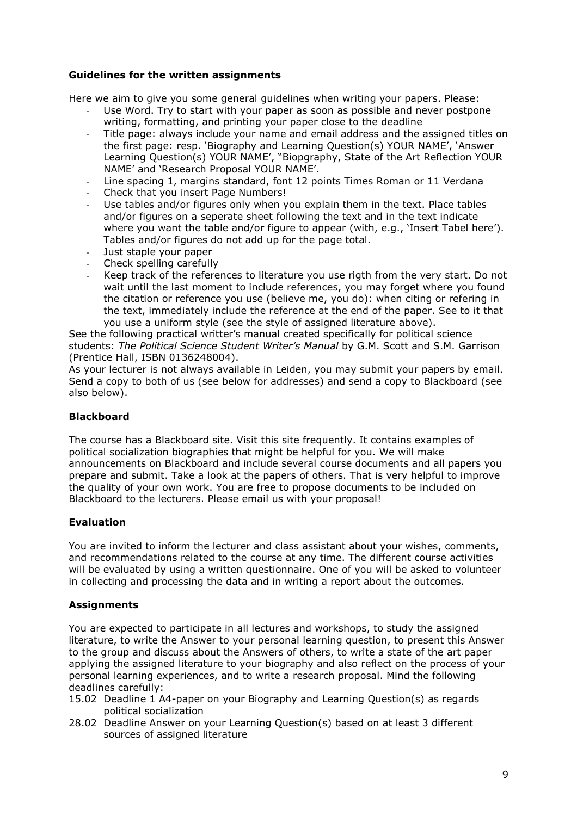## **Guidelines for the written assignments**

Here we aim to give you some general guidelines when writing your papers. Please:

- Use Word. Try to start with your paper as soon as possible and never postpone writing, formatting, and printing your paper close to the deadline
- Title page: always include your name and email address and the assigned titles on  $\mathbb{R}^2$ the first page: resp. 'Biography and Learning Question(s) YOUR NAME', 'Answer Learning Question(s) YOUR NAME', "Biopgraphy, State of the Art Reflection YOUR NAME' and 'Research Proposal YOUR NAME'.
- Line spacing 1, margins standard, font 12 points Times Roman or 11 Verdana  $\sim$
- Check that you insert Page Numbers!
- Use tables and/or figures only when you explain them in the text. Place tables and/or figures on a seperate sheet following the text and in the text indicate where you want the table and/or figure to appear (with, e.g., 'Insert Tabel here'). Tables and/or figures do not add up for the page total.
- Just staple your paper
- Check spelling carefully
- Keep track of the references to literature you use rigth from the very start. Do not wait until the last moment to include references, you may forget where you found the citation or reference you use (believe me, you do): when citing or refering in the text, immediately include the reference at the end of the paper. See to it that you use a uniform style (see the style of assigned literature above).

See the following practical writter's manual created specifically for political science students: The Political Science Student Writer's Manual by G.M. Scott and S.M. Garrison (Prentice Hall, ISBN 0136248004).

As your lecturer is not always available in Leiden, you may submit your papers by email. Send a copy to both of us (see below for addresses) and send a copy to Blackboard (see also below).

# **Blackboard**

The course has a Blackboard site. Visit this site frequently. It contains examples of political socialization biographies that might be helpful for you. We will make announcements on Blackboard and include several course documents and all papers you prepare and submit. Take a look at the papers of others. That is very helpful to improve the quality of your own work. You are free to propose documents to be included on Blackboard to the lecturers. Please email us with your proposal!

## **Evaluation**

You are invited to inform the lecturer and class assistant about your wishes, comments, and recommendations related to the course at any time. The different course activities will be evaluated by using a written questionnaire. One of you will be asked to volunteer in collecting and processing the data and in writing a report about the outcomes.

# **Assignments**

You are expected to participate in all lectures and workshops, to study the assigned literature, to write the Answer to your personal learning question, to present this Answer to the group and discuss about the Answers of others, to write a state of the art paper applying the assigned literature to your biography and also reflect on the process of your personal learning experiences, and to write a research proposal. Mind the following deadlines carefully:

- 15.02 Deadline 1 A4-paper on your Biography and Learning Question(s) as regards political socialization
- 28.02 Deadline Answer on your Learning Question(s) based on at least 3 different sources of assigned literature